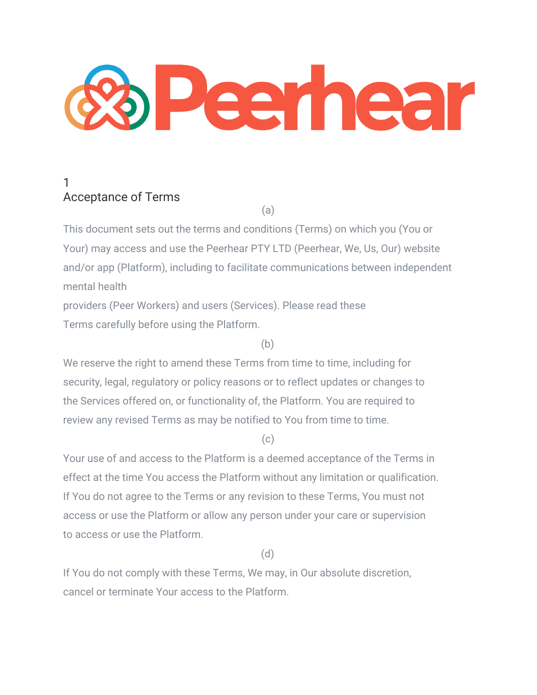

# 1 Acceptance of Terms

(a)

This document sets out the terms and conditions (Terms) on which you (You or Your) may access and use the Peerhear PTY LTD (Peerhear, We, Us, Our) website and/or app (Platform), including to facilitate communications between independent mental health

providers (Peer Workers) and users (Services). Please read these Terms carefully before using the Platform.

(b)

We reserve the right to amend these Terms from time to time, including for security, legal, regulatory or policy reasons or to reflect updates or changes to the Services offered on, or functionality of, the Platform. You are required to review any revised Terms as may be notified to You from time to time.

 $(c)$ 

Your use of and access to the Platform is a deemed acceptance of the Terms in effect at the time You access the Platform without any limitation or qualification. If You do not agree to the Terms or any revision to these Terms, You must not access or use the Platform or allow any person under your care or supervision to access or use the Platform.

(d)

If You do not comply with these Terms, We may, in Our absolute discretion, cancel or terminate Your access to the Platform.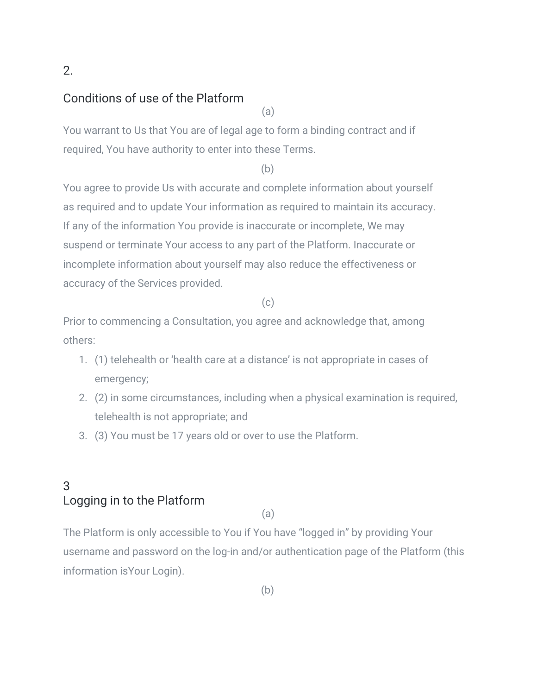### 2.

#### Conditions of use of the Platform

(a)

You warrant to Us that You are of legal age to form a binding contract and if required, You have authority to enter into these Terms.

(b)

You agree to provide Us with accurate and complete information about yourself as required and to update Your information as required to maintain its accuracy. If any of the information You provide is inaccurate or incomplete, We may suspend or terminate Your access to any part of the Platform. Inaccurate or incomplete information about yourself may also reduce the effectiveness or accuracy of the Services provided.

#### (c)

Prior to commencing a Consultation, you agree and acknowledge that, among others:

- 1. (1) telehealth or 'health care at a distance' is not appropriate in cases of emergency;
- 2. (2) in some circumstances, including when a physical examination is required, telehealth is not appropriate; and
- 3. (3) You must be 17 years old or over to use the Platform.

### 3 Logging in to the Platform

(a)

The Platform is only accessible to You if You have "logged in" by providing Your username and password on the log-in and/or authentication page of the Platform (this information isYour Login).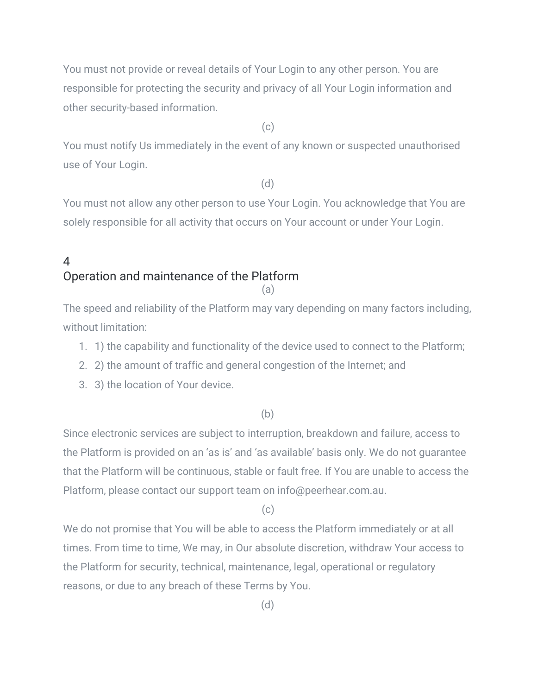You must not provide or reveal details of Your Login to any other person. You are responsible for protecting the security and privacy of all Your Login information and other security-based information.

 $(c)$ 

You must notify Us immediately in the event of any known or suspected unauthorised use of Your Login.

(d)

You must not allow any other person to use Your Login. You acknowledge that You are solely responsible for all activity that occurs on Your account or under Your Login.

#### 4 Operation and maintenance of the Platform (a)

The speed and reliability of the Platform may vary depending on many factors including, without limitation:

- 1. 1) the capability and functionality of the device used to connect to the Platform;
- 2. 2) the amount of traffic and general congestion of the Internet; and
- 3. 3) the location of Your device.

(b)

Since electronic services are subject to interruption, breakdown and failure, access to the Platform is provided on an 'as is' and 'as available' basis only. We do not guarantee that the Platform will be continuous, stable or fault free. If You are unable to access the Platform, please contact our support team on info@peerhear.com.au.

 $(c)$ 

We do not promise that You will be able to access the Platform immediately or at all times. From time to time, We may, in Our absolute discretion, withdraw Your access to the Platform for security, technical, maintenance, legal, operational or regulatory reasons, or due to any breach of these Terms by You.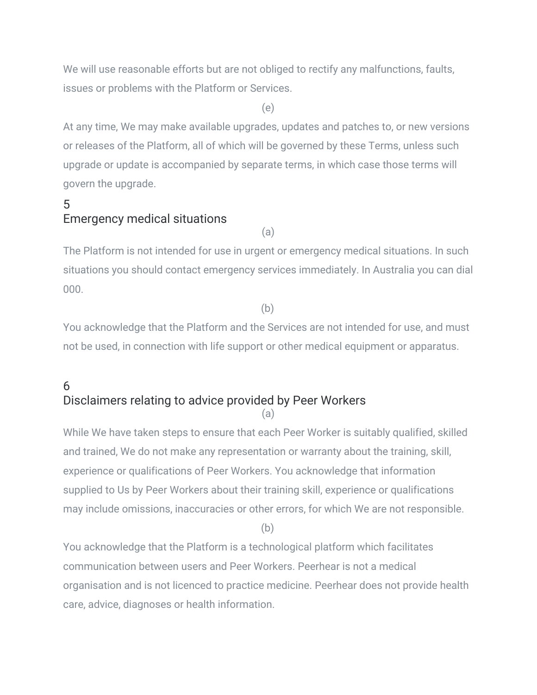We will use reasonable efforts but are not obliged to rectify any malfunctions, faults, issues or problems with the Platform or Services.

(e)

At any time, We may make available upgrades, updates and patches to, or new versions or releases of the Platform, all of which will be governed by these Terms, unless such upgrade or update is accompanied by separate terms, in which case those terms will govern the upgrade.

## 5 Emergency medical situations

(a)

The Platform is not intended for use in urgent or emergency medical situations. In such situations you should contact emergency services immediately. In Australia you can dial 000.

(b)

You acknowledge that the Platform and the Services are not intended for use, and must not be used, in connection with life support or other medical equipment or apparatus.

#### 6 Disclaimers relating to advice provided by Peer Workers (a)

While We have taken steps to ensure that each Peer Worker is suitably qualified, skilled and trained, We do not make any representation or warranty about the training, skill, experience or qualifications of Peer Workers. You acknowledge that information supplied to Us by Peer Workers about their training skill, experience or qualifications may include omissions, inaccuracies or other errors, for which We are not responsible.

(b)

You acknowledge that the Platform is a technological platform which facilitates communication between users and Peer Workers. Peerhear is not a medical organisation and is not licenced to practice medicine. Peerhear does not provide health care, advice, diagnoses or health information.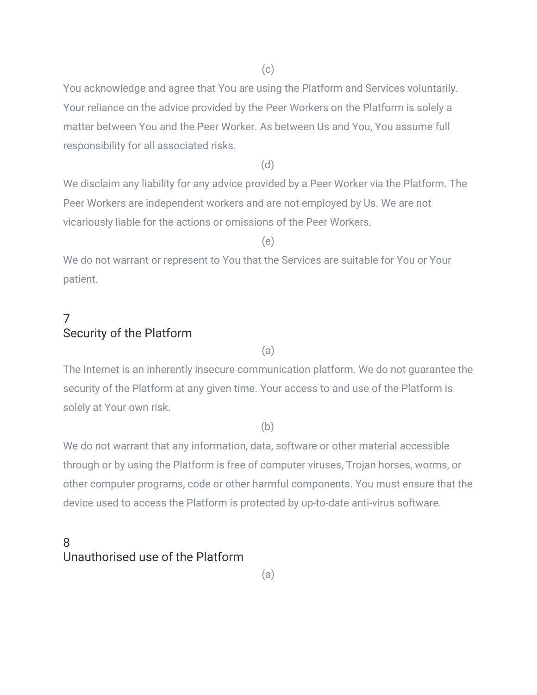You acknowledge and agree that You are using the Platform and Services voluntarily. Your reliance on the advice provided by the Peer Workers on the Platform is solely a matter between You and the Peer Worker. As between Us and You, You assume full responsibility for all associated risks.

(d)

We disclaim any liability for any advice provided by a Peer Worker via the Platform. The Peer Workers are independent workers and are not employed by Us. We are not vicariously liable for the actions or omissions of the Peer Workers.

(e)

We do not warrant or represent to You that the Services are suitable for You or Your patient.

### 7 Security of the Platform

(a)

The Internet is an inherently insecure communication platform. We do not guarantee the security of the Platform at any given time. Your access to and use of the Platform is solely at Your own risk.

(b)

We do not warrant that any information, data, software or other material accessible through or by using the Platform is free of computer viruses, Trojan horses, worms, or other computer programs, code or other harmful components. You must ensure that the device used to access the Platform is protected by up-to-date anti-virus software.

### 8 Unauthorised use of the Platform

(a)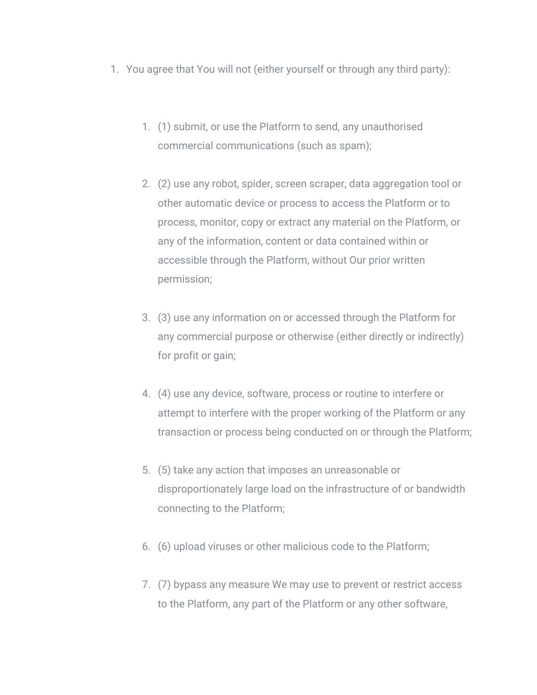- 1. You agree that You will not (either yourself or through any third party):
	- 1. (1) submit, or use the Platform to send, any unauthorised commercial communications (such as spam);
	- 2. (2) use any robot, spider, screen scraper, data aggregation tool or other automatic device or process to access the Platform or to process, monitor, copy or extract any material on the Platform, or any of the information, content or data contained within or accessible through the Platform, without Our prior written permission;
	- 3. (3) use any information on or accessed through the Platform for any commercial purpose or otherwise (either directly or indirectly) for profit or gain;
	- 4. (4) use any device, software, process or routine to interfere or attempt to interfere with the proper working of the Platform or any transaction or process being conducted on or through the Platform;
	- 5. (5) take any action that imposes an unreasonable or disproportionately large load on the infrastructure of or bandwidth connecting to the Platform;
	- 6. (6) upload viruses or other malicious code to the Platform;
	- 7. (7) bypass any measure We may use to prevent or restrict access to the Platform, any part of the Platform or any other software,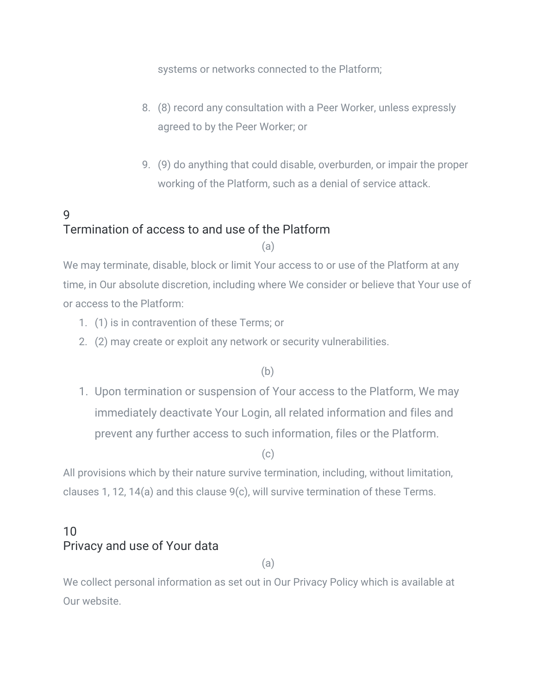systems or networks connected to the Platform;

- 8. (8) record any consultation with a Peer Worker, unless expressly agreed to by the Peer Worker; or
- 9. (9) do anything that could disable, overburden, or impair the proper working of the Platform, such as a denial of service attack.

# 9 Termination of access to and use of the Platform

(a)

We may terminate, disable, block or limit Your access to or use of the Platform at any time, in Our absolute discretion, including where We consider or believe that Your use of or access to the Platform:

- 1. (1) is in contravention of these Terms; or
- 2. (2) may create or exploit any network or security vulnerabilities.

(b)

1. Upon termination or suspension of Your access to the Platform, We may immediately deactivate Your Login, all related information and files and prevent any further access to such information, files or the Platform.

 $(c)$ 

All provisions which by their nature survive termination, including, without limitation, clauses 1, 12, 14(a) and this clause 9(c), will survive termination of these Terms.

### 10 Privacy and use of Your data

(a)

We collect personal information as set out in Our Privacy Policy which is available at Our website.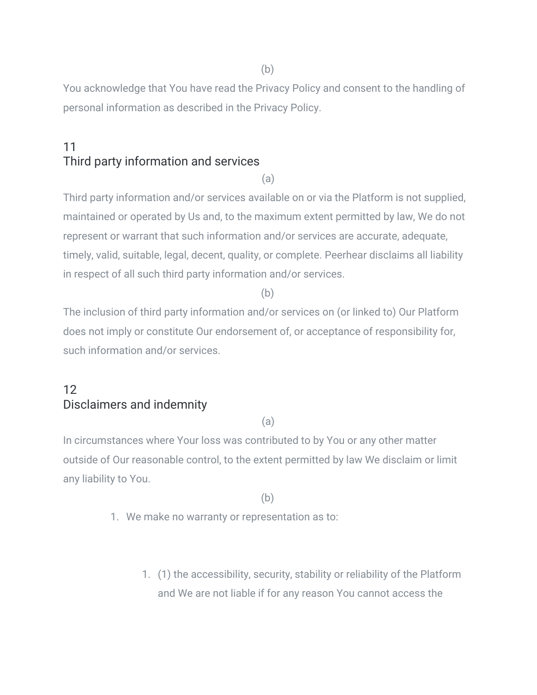(b)

You acknowledge that You have read the Privacy Policy and consent to the handling of personal information as described in the Privacy Policy.

### 11 Third party information and services

(a)

Third party information and/or services available on or via the Platform is not supplied, maintained or operated by Us and, to the maximum extent permitted by law, We do not represent or warrant that such information and/or services are accurate, adequate, timely, valid, suitable, legal, decent, quality, or complete. Peerhear disclaims all liability in respect of all such third party information and/or services.

(b)

The inclusion of third party information and/or services on (or linked to) Our Platform does not imply or constitute Our endorsement of, or acceptance of responsibility for, such information and/or services.

## 12 Disclaimers and indemnity

(a)

In circumstances where Your loss was contributed to by You or any other matter outside of Our reasonable control, to the extent permitted by law We disclaim or limit any liability to You.

(b)

- 1. We make no warranty or representation as to:
	- 1. (1) the accessibility, security, stability or reliability of the Platform and We are not liable if for any reason You cannot access the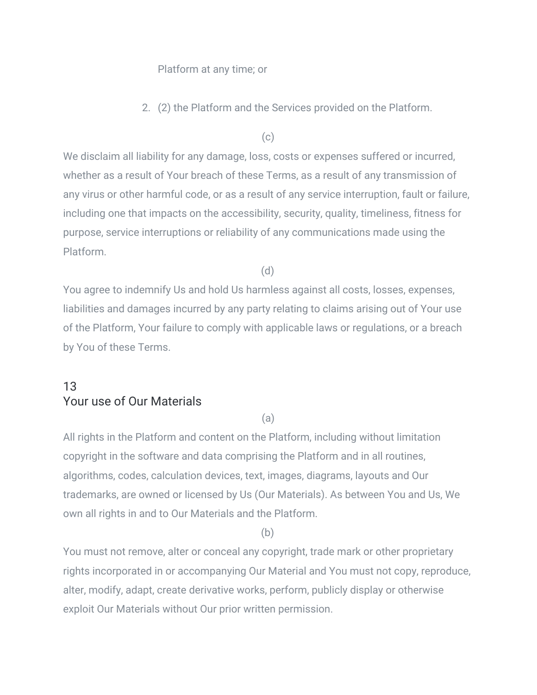#### Platform at any time; or

2. (2) the Platform and the Services provided on the Platform.

(c)

We disclaim all liability for any damage, loss, costs or expenses suffered or incurred, whether as a result of Your breach of these Terms, as a result of any transmission of any virus or other harmful code, or as a result of any service interruption, fault or failure, including one that impacts on the accessibility, security, quality, timeliness, fitness for purpose, service interruptions or reliability of any communications made using the Platform.

(d)

You agree to indemnify Us and hold Us harmless against all costs, losses, expenses, liabilities and damages incurred by any party relating to claims arising out of Your use of the Platform, Your failure to comply with applicable laws or regulations, or a breach by You of these Terms.

### 13 Your use of Our Materials

(a)

All rights in the Platform and content on the Platform, including without limitation copyright in the software and data comprising the Platform and in all routines, algorithms, codes, calculation devices, text, images, diagrams, layouts and Our trademarks, are owned or licensed by Us (Our Materials). As between You and Us, We own all rights in and to Our Materials and the Platform.

(b)

You must not remove, alter or conceal any copyright, trade mark or other proprietary rights incorporated in or accompanying Our Material and You must not copy, reproduce, alter, modify, adapt, create derivative works, perform, publicly display or otherwise exploit Our Materials without Our prior written permission.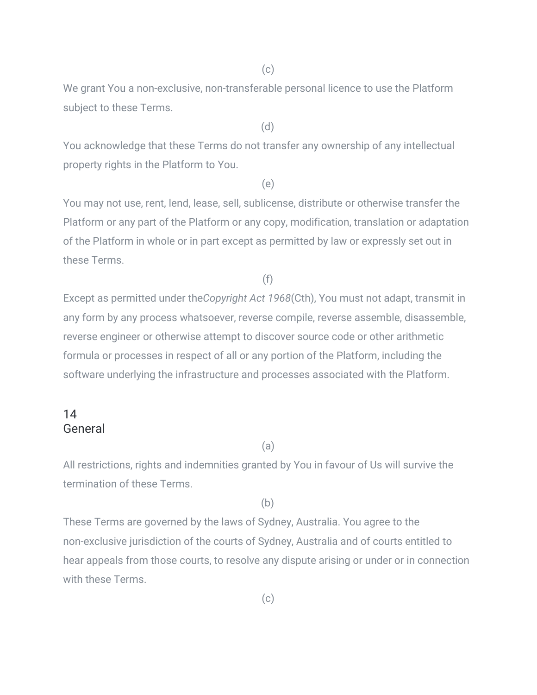(c)

We grant You a non-exclusive, non-transferable personal licence to use the Platform subject to these Terms.

(d)

You acknowledge that these Terms do not transfer any ownership of any intellectual property rights in the Platform to You.

(e)

You may not use, rent, lend, lease, sell, sublicense, distribute or otherwise transfer the Platform or any part of the Platform or any copy, modification, translation or adaptation of the Platform in whole or in part except as permitted by law or expressly set out in these Terms.

(f)

Except as permitted under the*Copyright Act 1968*(Cth), You must not adapt, transmit in any form by any process whatsoever, reverse compile, reverse assemble, disassemble, reverse engineer or otherwise attempt to discover source code or other arithmetic formula or processes in respect of all or any portion of the Platform, including the software underlying the infrastructure and processes associated with the Platform.

#### 14 General

#### (a)

All restrictions, rights and indemnities granted by You in favour of Us will survive the termination of these Terms.

(b)

These Terms are governed by the laws of Sydney, Australia. You agree to the non-exclusive jurisdiction of the courts of Sydney, Australia and of courts entitled to hear appeals from those courts, to resolve any dispute arising or under or in connection with these Terms.